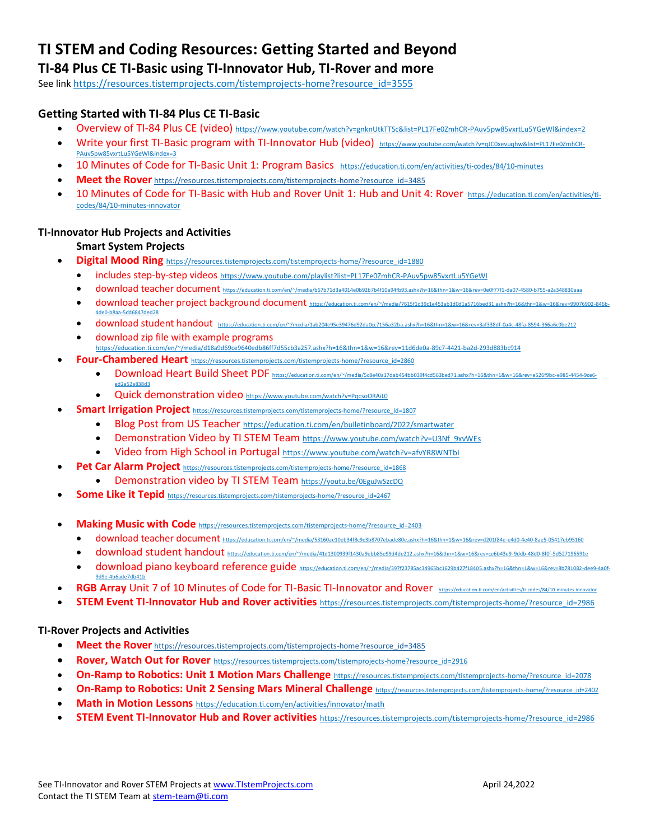# **TI STEM and Coding Resources: Getting Started and Beyond**

# **TI-84 Plus CE TI-Basic using TI-Innovator Hub, TI-Rover and more**

See lin[k https://resources.tistemprojects.com/tistemprojects-home?resource\\_id=3555](https://resources.tistemprojects.com/tistemprojects-home?resource_id=3555)

## **Getting Started with TI-84 Plus CE TI-Basic**

- Overview of TI-84 Plus CE (video) <https://www.youtube.com/watch?v=gnknUtkTTSc&list=PL17Fe0ZmhCR-PAuv5pw85vxrtLu5YGeWl&index=2>
- Write vour first TI-Basic program with TI-Innovator Hub (video) [https://www.youtube.com/watch?v=qJC0xevuqhw&list=PL17Fe0ZmhCR-](https://www.youtube.com/watch?v=qJC0xevuqhw&list=PL17Fe0ZmhCR-PAuv5pw85vxrtLu5YGeWl&index=3)[PAuv5pw85vxrtLu5YGeWl&index=3](https://www.youtube.com/watch?v=qJC0xevuqhw&list=PL17Fe0ZmhCR-PAuv5pw85vxrtLu5YGeWl&index=3)
- 10 Minutes of Code for TI-Basic Unit 1: [Program](https://nam11.safelinks.protection.outlook.com/?url=https%3A%2F%2Feducation.ti.com%2Fen%2Factivities%2Fti-codes%2Fpython%2Fnspire%2520%250d10&data=04%7C01%7Cconchita.england%40acboe.net%7Cff41f4b3a71349184ae208d9a9d5c6a1%7C95906bbc973947fc9c7faf193d7e5c12%7C0%7C0%7C637727557928885500%7CUnknown%7CTWFpbGZsb3d8eyJWIjoiMC4wLjAwMDAiLCJQIjoiV2luMzIiLCJBTiI6Ik1haWwiLCJXVCI6Mn0%3D%7C3000&sdata=Pb5yIJlMHifaSAHA1xcSr5tHk2JgIDzxGu7qWsBnsv4%3D&reserved=0) Basics <https://education.ti.com/en/activities/ti-codes/84/10-minutes>
- **Meet the Rover** [https://resources.tistemprojects.com/tistemprojects-home?resource\\_id=3485](https://resources.tistemprojects.com/tistemprojects-home?resource_id=3485)
- 10 Minutes of Code for TI-Basic with Hub and Rover Unit 1: Hub and Unit 4: Rover [https://education.ti.com/en/activities/ti](https://education.ti.com/en/activities/ti-codes/84/10-minutes-innovator)[codes/84/10-minutes-innovator](https://education.ti.com/en/activities/ti-codes/84/10-minutes-innovator)

### **TI-Innovator Hub Projects and Activities**

## **Smart System Projects**

- **Digital Mood Ring** [https://resources.tistemprojects.com/tistemprojects-home/?resource\\_id=1880](https://resources.tistemprojects.com/tistemprojects-home/?resource_id=1880)
	- includes step-by-step videos <https://www.youtube.com/playlist?list=PL17Fe0ZmhCR-PAuv5pw85vxrtLu5YGeWl>
	- download teacher document <https://education.ti.com/en/~/media/b67b71d3a4014e0b92b7b4f10a94fb93.ashx?h=16&thn=1&w=16&rev=0e0f77f1-da07-4580-b755-a2a348830aaa>
	- download teacher project background document [https://education.ti.com/en/~/media/7615f1d39c1e453ab1d0d1a5716bed31.ashx?h=16&thn=1&w=16&rev=99076902-846b-](https://education.ti.com/en/~/media/7615f1d39c1e453ab1d0d1a5716bed31.ashx?h=16&thn=1&w=16&rev=99076902-846b-4de0-b8aa-5dd6847ded28)[4de0-b8aa-5dd6847ded28](https://education.ti.com/en/~/media/7615f1d39c1e453ab1d0d1a5716bed31.ashx?h=16&thn=1&w=16&rev=99076902-846b-4de0-b8aa-5dd6847ded28)
	- download student handout <https://education.ti.com/en/~/media/1ab204e95e39476d92da0cc7156a32ba.ashx?h=16&thn=1&w=16&rev=3af338df-0a4c-48fa-8594-366a6c0be212>
	- download zip file with example programs <https://education.ti.com/en/~/media/d18a9d69ce9640edb86ff7d55cb3a257.ashx?h=16&thn=1&w=16&rev=11d6de0a-89c7-4421-ba2d-293d883bc914>
- **Four-Chambered Heart** [https://resources.tistemprojects.com/tistemprojects-home/?resource\\_id=2860](https://resources.tistemprojects.com/tistemprojects-home/?resource_id=2860)
	- Download Heart Build Sheet PDF [https://education.ti.com/en/~/media/5c8e40a17dab454bb039f4cd563bed71.ashx?h=16&thn=1&w=16&rev=e526f9bc-e985-4454-9ce6](https://education.ti.com/en/~/media/5c8e40a17dab454bb039f4cd563bed71.ashx?h=16&thn=1&w=16&rev=e526f9bc-e985-4454-9ce6-ed2a52a838d3) [ed2a52a838d3](https://education.ti.com/en/~/media/5c8e40a17dab454bb039f4cd563bed71.ashx?h=16&thn=1&w=16&rev=e526f9bc-e985-4454-9ce6-ed2a52a838d3)
	- Quick demonstration video <https://www.youtube.com/watch?v=PqcsoORAiL0>
	- **Smart Irrigation Project** [https://resources.tistemprojects.com/tistemprojects-home/?resource\\_id=1807](https://resources.tistemprojects.com/tistemprojects-home/?resource_id=1807)
		- Blog Post from US Teacher <https://education.ti.com/en/bulletinboard/2022/smartwater>
		- Demonstration Video by TI STEM Team [https://www.youtube.com/watch?v=U3Nf\\_9xvWEs](https://www.youtube.com/watch?v=U3Nf_9xvWEs)
		- Video from High School in Portugal <https://www.youtube.com/watch?v=afvYR8WNTbI>
- Pet Car Alarm Project [https://resources.tistemprojects.com/tistemprojects-home/?resource\\_id=1868](https://resources.tistemprojects.com/tistemprojects-home/?resource_id=1868)
	- Demonstration video by TI STEM Team <https://youtu.be/0EguJwSzcDQ>
- **Some Like it Tepid** [https://resources.tistemprojects.com/tistemprojects-home/?resource\\_id=2467](https://resources.tistemprojects.com/tistemprojects-home/?resource_id=2467)
- **Making Music with Code** [https://resources.tistemprojects.com/tistemprojects-home/?resource\\_id=2403](https://resources.tistemprojects.com/tistemprojects-home/?resource_id=2403)
	- download teacher document <https://education.ti.com/en/~/media/53160ae10eb34f8c9e3b8707ebade80e.ashx?h=16&thn=1&w=16&rev=d201f84e-e4d0-4e40-8ae5-05417eb95160>
	- download student handout <https://education.ti.com/en/~/media/41d1300939f1430a9ebb85e99d4de212.ashx?h=16&thn=1&w=16&rev=ce6b43e9-9ddb-48d0-8f0f-5d527196591e>
	- download piano keyboard reference guide [https://education.ti.com/en/~/media/397f23785ac34965bc1629b427f18405.ashx?h=16&thn=1&w=16&rev=8b781082-dee9-4a0f-](https://education.ti.com/en/~/media/397f23785ac34965bc1629b427f18405.ashx?h=16&thn=1&w=16&rev=8b781082-dee9-4a0f-9d9e-4b6ade7db41b)[9d9e-4b6ade7db41b](https://education.ti.com/en/~/media/397f23785ac34965bc1629b427f18405.ashx?h=16&thn=1&w=16&rev=8b781082-dee9-4a0f-9d9e-4b6ade7db41b)
- RGB Array Unit 7 of 10 Minutes of Code for TI-Basic TI-Innovator and Rover https://education.ti.com/en/activities/ti-codes/84/10-m
- **STEM Event TI-Innovator Hub and Rover activities** [https://resources.tistemprojects.com/tistemprojects-home/?resource\\_id=2986](https://resources.tistemprojects.com/tistemprojects-home/?resource_id=2986)

#### **TI-Rover Projects and Activities**

- **Meet the Rover** [https://resources.tistemprojects.com/tistemprojects-home?resource\\_id=3485](https://resources.tistemprojects.com/tistemprojects-home?resource_id=3485)
- Rover, Watch Out for Rover [https://resources.tistemprojects.com/tistemprojects-home?resource\\_id=2916](https://resources.tistemprojects.com/tistemprojects-home?resource_id=2916)
- **On-Ramp to Robotics: Unit 1 Motion Mars Challenge** https://resources.tistemprojects.com/tistemprojects-home/?resource\_id=2078
- **On-Ramp to Robotics: Unit 2 Sensing Mars Mineral Challenge** [https://resources.tistemprojects.com/tistemprojects-home/?resource\\_id=2402](https://resources.tistemprojects.com/tistemprojects-home/?resource_id=2402)
- **Math in Motion Lessons** <https://education.ti.com/en/activities/innovator/math>
- **STEM Event TI-Innovator Hub and Rover activities** [https://resources.tistemprojects.com/tistemprojects-home/?resource\\_id=2986](https://resources.tistemprojects.com/tistemprojects-home/?resource_id=2986)